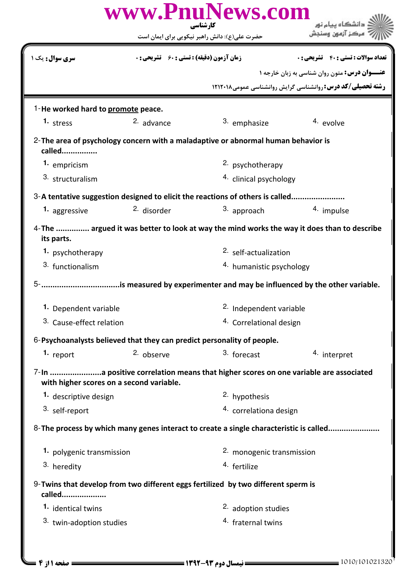| www.PnuNews.com<br>کارشناسی                                            |                                                    |                                                                                         |                                                                                            |  |  |
|------------------------------------------------------------------------|----------------------------------------------------|-----------------------------------------------------------------------------------------|--------------------------------------------------------------------------------------------|--|--|
|                                                                        |                                                    | حضرت علی(ع): دانش راهبر نیکویی برای ایمان است                                           |                                                                                            |  |  |
| <b>سری سوال :</b> یک ۱                                                 | <b>زمان آزمون (دقیقه) : تستی : 60 ٪ تشریحی : 0</b> |                                                                                         | <b>تعداد سوالات : تستی : 40 - تشریحی : 0</b>                                               |  |  |
|                                                                        |                                                    |                                                                                         | عنــوان درس: متون روان شناسی به زبان خارجه ١                                               |  |  |
|                                                                        |                                                    |                                                                                         | <b>رشته تحصیلی/کد درس: روانشناسی گرایش روانشناسی عمومی1۲۱۲۰۱۸</b>                          |  |  |
| 1-He worked hard to promote peace.                                     |                                                    |                                                                                         |                                                                                            |  |  |
| $1.$ stress                                                            | 2. advance                                         | 3. emphasize                                                                            | 4. evolve                                                                                  |  |  |
| called                                                                 |                                                    | 2-The area of psychology concern with a maladaptive or abnormal human behavior is       |                                                                                            |  |  |
| 1. empricism                                                           |                                                    | 2. psychotherapy                                                                        |                                                                                            |  |  |
| 3. structuralism                                                       |                                                    | <sup>4.</sup> clinical psychology                                                       |                                                                                            |  |  |
|                                                                        |                                                    | 3-A tentative suggestion designed to elicit the reactions of others is called           |                                                                                            |  |  |
| 1. aggressive                                                          | <sup>2.</sup> disorder                             | 3. approach                                                                             | 4. impulse                                                                                 |  |  |
| its parts.                                                             |                                                    |                                                                                         | 4-The  argued it was better to look at way the mind works the way it does than to describe |  |  |
| 1. psychotherapy                                                       |                                                    | <sup>2.</sup> self-actualization                                                        |                                                                                            |  |  |
| 3. functionalism                                                       |                                                    | 4. humanistic psychology                                                                |                                                                                            |  |  |
|                                                                        |                                                    |                                                                                         |                                                                                            |  |  |
| 1. Dependent variable                                                  |                                                    |                                                                                         | 2. Independent variable                                                                    |  |  |
| 3. Cause-effect relation                                               |                                                    | 4. Correlational design                                                                 |                                                                                            |  |  |
| 6-Psychoanalysts believed that they can predict personality of people. |                                                    |                                                                                         |                                                                                            |  |  |
| 1. report                                                              | 2. observe                                         | 3. forecast                                                                             | 4. interpret                                                                               |  |  |
| with higher scores on a second variable.                               |                                                    | 7-In a positive correlation means that higher scores on one variable are associated     |                                                                                            |  |  |
| 1. descriptive design                                                  |                                                    | 2. hypothesis                                                                           |                                                                                            |  |  |
| 3. self-report                                                         |                                                    | 4. correlationa design                                                                  |                                                                                            |  |  |
|                                                                        |                                                    | 8- The process by which many genes interact to create a single characteristic is called |                                                                                            |  |  |
| 1. polygenic transmission                                              |                                                    | 2. monogenic transmission                                                               |                                                                                            |  |  |
| 3. heredity                                                            |                                                    |                                                                                         | 4. fertilize                                                                               |  |  |
| called                                                                 |                                                    | 9-Twins that develop from two different eggs fertilized by two different sperm is       |                                                                                            |  |  |
| 1. identical twins                                                     |                                                    | 2. adoption studies                                                                     |                                                                                            |  |  |
| 3. twin-adoption studies                                               |                                                    | <sup>4.</sup> fraternal twins                                                           |                                                                                            |  |  |
|                                                                        |                                                    |                                                                                         |                                                                                            |  |  |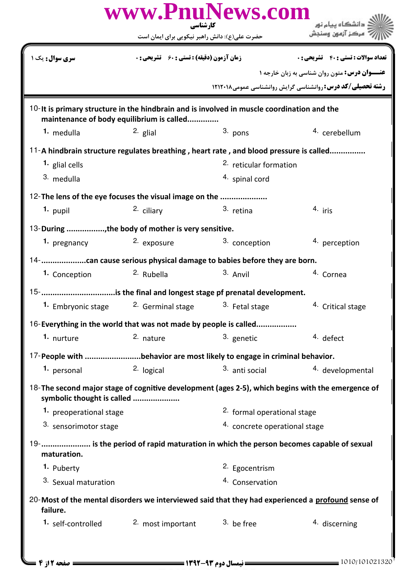| www.PnuNews.com<br>کار شناسی                                                                                                            |                                                    |                                        |                                                                    |  |  |  |
|-----------------------------------------------------------------------------------------------------------------------------------------|----------------------------------------------------|----------------------------------------|--------------------------------------------------------------------|--|--|--|
|                                                                                                                                         | حضرت علی(ع): دانش راهبر نیکویی برای ایمان است      |                                        |                                                                    |  |  |  |
| <b>سری سوال:</b> یک ۱                                                                                                                   | <b>زمان آزمون (دقیقه) : تستی : 60 ٪ تشریحی : 0</b> |                                        | <b>تعداد سوالات : تستي : 40 ٪ تشريحي : 0</b>                       |  |  |  |
|                                                                                                                                         |                                                    |                                        | <b>عنـــوان درس:</b> متون روان شناسی به زبان خارجه ۱               |  |  |  |
|                                                                                                                                         |                                                    |                                        | <b>رشته تحصیلی/کد درس: روانشناسی گرایش روانشناسی عمومی ۱۲۱۲۰۱۸</b> |  |  |  |
| 10-It is primary structure in the hindbrain and is involved in muscle coordination and the<br>maintenance of body equilibrium is called |                                                    |                                        |                                                                    |  |  |  |
| 1. medulla                                                                                                                              | $2.$ glial                                         | 3. pons                                | 4. cerebellum                                                      |  |  |  |
| 11-A hindbrain structure regulates breathing, heart rate, and blood pressure is called                                                  |                                                    |                                        |                                                                    |  |  |  |
| 1. glial cells                                                                                                                          |                                                    | <sup>2.</sup> reticular formation      |                                                                    |  |  |  |
| 3. medulla                                                                                                                              |                                                    | 4. spinal cord                         |                                                                    |  |  |  |
| 12- The lens of the eye focuses the visual image on the                                                                                 |                                                    |                                        |                                                                    |  |  |  |
| 1. pupil                                                                                                                                | 2. ciliary                                         | 3. retina                              | 4. iris                                                            |  |  |  |
| 13-During , the body of mother is very sensitive.                                                                                       |                                                    |                                        |                                                                    |  |  |  |
| 1. pregnancy                                                                                                                            | 2. exposure                                        | 3. conception                          | 4. perception                                                      |  |  |  |
|                                                                                                                                         |                                                    |                                        |                                                                    |  |  |  |
| 1. Conception                                                                                                                           | <sup>2.</sup> Rubella                              | 3. Anvil                               | 4. Cornea                                                          |  |  |  |
| 15- is the final and longest stage pf prenatal development.                                                                             |                                                    |                                        |                                                                    |  |  |  |
| 1. Embryonic stage 2. Germinal stage                                                                                                    |                                                    | 3. Fetal stage                         | 4. Critical stage                                                  |  |  |  |
| 16-Everything in the world that was not made by people is called                                                                        |                                                    |                                        |                                                                    |  |  |  |
| 1. nurture                                                                                                                              | 2. nature                                          | 3. genetic                             | 4. defect                                                          |  |  |  |
| 17-People with behavior are most likely to engage in criminal behavior.                                                                 |                                                    |                                        |                                                                    |  |  |  |
| 1. personal                                                                                                                             | 2. logical                                         | 3. anti social                         | 4. developmental                                                   |  |  |  |
| 18-The second major stage of cognitive development (ages 2-5), which begins with the emergence of<br>symbolic thought is called         |                                                    |                                        |                                                                    |  |  |  |
| 1. preoperational stage                                                                                                                 |                                                    | <sup>2.</sup> formal operational stage |                                                                    |  |  |  |
| 3. sensorimotor stage                                                                                                                   |                                                    | 4. concrete operational stage          |                                                                    |  |  |  |
| 19-  is the period of rapid maturation in which the person becomes capable of sexual<br>maturation.                                     |                                                    |                                        |                                                                    |  |  |  |
| 1. Puberty                                                                                                                              |                                                    | 2. Egocentrism                         |                                                                    |  |  |  |
| 3. Sexual maturation                                                                                                                    |                                                    | 4. Conservation                        |                                                                    |  |  |  |
| 20-Most of the mental disorders we interviewed said that they had experienced a profound sense of<br>failure.                           |                                                    |                                        |                                                                    |  |  |  |
| 1. self-controlled                                                                                                                      | 2. most important                                  | $3.$ be free                           | 4. discerning                                                      |  |  |  |
|                                                                                                                                         |                                                    |                                        |                                                                    |  |  |  |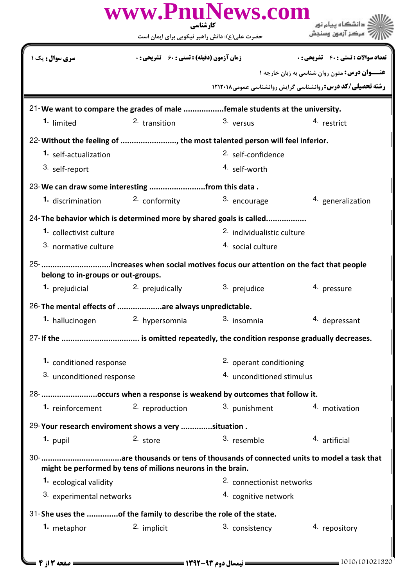|                                                                  |                                                             | کارشناسی<br>حضرت علی(ع): دانش راهبر نیکویی برای ایمان است                    |                                                             |
|------------------------------------------------------------------|-------------------------------------------------------------|------------------------------------------------------------------------------|-------------------------------------------------------------|
| سری سوال : یک                                                    | <b>زمان آزمون (دقیقه) : تستی : 60 ٪ تشریحی : 0</b>          |                                                                              | <b>تعداد سوالات : تستی : 40 - تشریحی : 0</b>                |
|                                                                  |                                                             |                                                                              | <b>عنـــوان درس:</b> متون روان شناسی به زبان خارجه ۱        |
|                                                                  |                                                             |                                                                              | رشته تحصیلی/کد درس: روانشناسی گرایش روانشناسی عمومی ۱۲۱۲۰۱۸ |
|                                                                  |                                                             | 21-We want to compare the grades of male female students at the university.  |                                                             |
| 1. limited                                                       | <sup>2</sup> transition                                     | 3. versus                                                                    | 4. restrict                                                 |
|                                                                  |                                                             | 22- Without the feeling of , the most talented person will feel inferior.    |                                                             |
| 1. self-actualization                                            |                                                             | 2. self-confidence                                                           |                                                             |
| 3. self-report                                                   |                                                             | 4. self-worth                                                                |                                                             |
| 23-We can draw some interesting from this data.                  |                                                             |                                                                              |                                                             |
| <b>1.</b> discrimination                                         | 2. conformity                                               | 3. encourage                                                                 | 4. generalization                                           |
|                                                                  |                                                             | 24-The behavior which is determined more by shared goals is called           |                                                             |
| 1. collectivist culture                                          |                                                             | <sup>2.</sup> individualistic culture                                        |                                                             |
| 3. normative culture                                             |                                                             | 4. social culture                                                            |                                                             |
| belong to in-groups or out-groups.                               |                                                             | 25-increases when social motives focus our attention on the fact that people |                                                             |
| <b>1.</b> prejudicial                                            | 2. prejudically                                             | 3. prejudice                                                                 | 4. pressure                                                 |
| 26-The mental effects of are always unpredictable.               |                                                             |                                                                              |                                                             |
| 1. hallucinogen                                                  | 2. hypersomnia                                              | 3. insomnia                                                                  | 4. depressant                                               |
|                                                                  |                                                             |                                                                              |                                                             |
| 1. conditioned response                                          |                                                             | 2. operant conditioning                                                      |                                                             |
| 3. unconditioned response                                        |                                                             | 4. unconditioned stimulus                                                    |                                                             |
|                                                                  |                                                             | 28- occurs when a response is weakend by outcomes that follow it.            |                                                             |
| 1. reinforcement                                                 | 2. reproduction                                             | 3. punishment                                                                | 4. motivation                                               |
|                                                                  |                                                             |                                                                              |                                                             |
| 29-Your research enviroment shows a very situation.              |                                                             |                                                                              |                                                             |
| 1. pupil                                                         | 2. store                                                    | 3. resemble                                                                  | 4. artificial                                               |
|                                                                  | might be performed by tens of milions neurons in the brain. |                                                                              |                                                             |
| 1. ecological validity                                           |                                                             | 2. connectionist networks                                                    |                                                             |
| 3. experimental networks                                         |                                                             | 4. cognitive network                                                         |                                                             |
| 31-She uses the of the family to describe the role of the state. |                                                             |                                                                              |                                                             |
| 1. metaphor                                                      | 2. implicit                                                 | 3. consistency                                                               | 4. repository                                               |
|                                                                  |                                                             |                                                                              |                                                             |